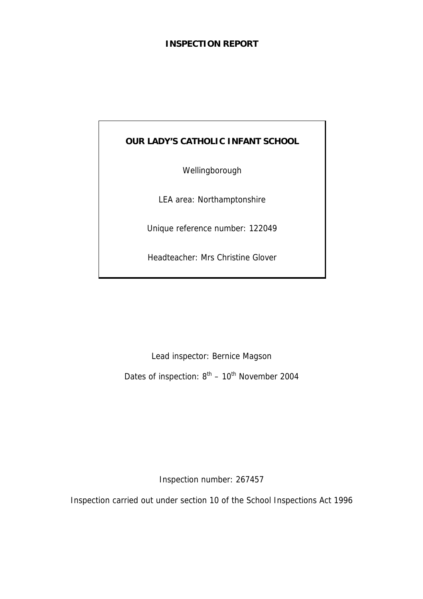# **INSPECTION REPORT**

# **OUR LADY'S CATHOLIC INFANT SCHOOL**

Wellingborough

LEA area: Northamptonshire

Unique reference number: 122049

Headteacher: Mrs Christine Glover

Lead inspector: Bernice Magson

Dates of inspection:  $8^{th}$  –  $10^{th}$  November 2004

Inspection number: 267457

Inspection carried out under section 10 of the School Inspections Act 1996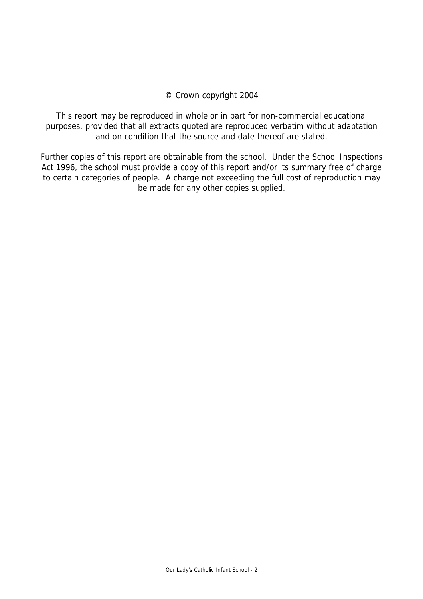### © Crown copyright 2004

This report may be reproduced in whole or in part for non-commercial educational purposes, provided that all extracts quoted are reproduced verbatim without adaptation and on condition that the source and date thereof are stated.

Further copies of this report are obtainable from the school. Under the School Inspections Act 1996, the school must provide a copy of this report and/or its summary free of charge to certain categories of people. A charge not exceeding the full cost of reproduction may be made for any other copies supplied.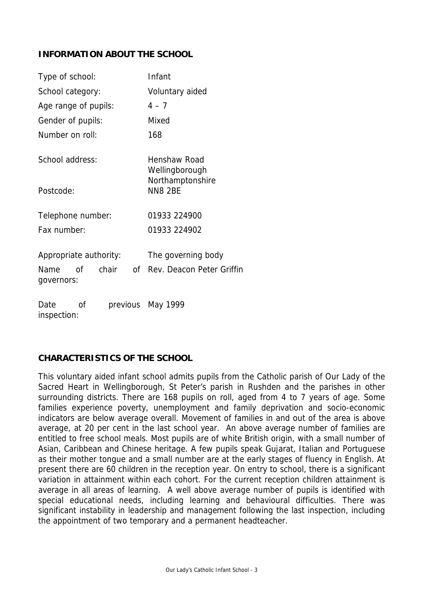# **INFORMATION ABOUT THE SCHOOL**

| Type of school:                                             | Infant                                                |
|-------------------------------------------------------------|-------------------------------------------------------|
| School category:                                            | Voluntary aided                                       |
| Age range of pupils:                                        | $4 - 7$                                               |
| Gender of pupils:                                           | Mixed                                                 |
| Number on roll:                                             | 168                                                   |
| School address:                                             | Henshaw Road<br>Wellingborough                        |
| Postcode:                                                   | Northamptonshire<br><b>NN8 2BE</b>                    |
| Telephone number:                                           | 01933 224900                                          |
| Fax number:                                                 | 01933 224902                                          |
| Appropriate authority:<br>chair<br>of<br>Name<br>governors: | The governing body<br>Rev. Deacon Peter Griffin<br>0f |
| Date<br>0f<br>previous<br>inspection:                       | May 1999                                              |

# **CHARACTERISTICS OF THE SCHOOL**

This voluntary aided infant school admits pupils from the Catholic parish of Our Lady of the Sacred Heart in Wellingborough, St Peter's parish in Rushden and the parishes in other surrounding districts. There are 168 pupils on roll, aged from 4 to 7 years of age. Some families experience poverty, unemployment and family deprivation and socio-economic indicators are below average overall. Movement of families in and out of the area is above average, at 20 per cent in the last school year. An above average number of families are entitled to free school meals. Most pupils are of white British origin, with a small number of Asian, Caribbean and Chinese heritage. A few pupils speak Gujarat, Italian and Portuguese as their mother tongue and a small number are at the early stages of fluency in English. At present there are 60 children in the reception year. On entry to school, there is a significant variation in attainment within each cohort. For the current reception children attainment is average in all areas of learning. A well above average number of pupils is identified with special educational needs, including learning and behavioural difficulties. There was significant instability in leadership and management following the last inspection, including the appointment of two temporary and a permanent headteacher.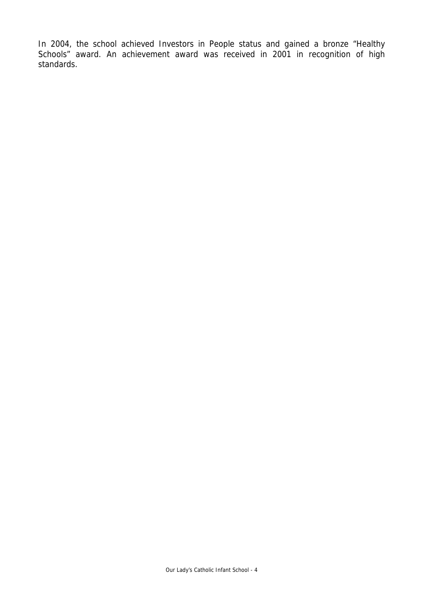In 2004, the school achieved Investors in People status and gained a bronze "Healthy Schools" award. An achievement award was received in 2001 in recognition of high standards.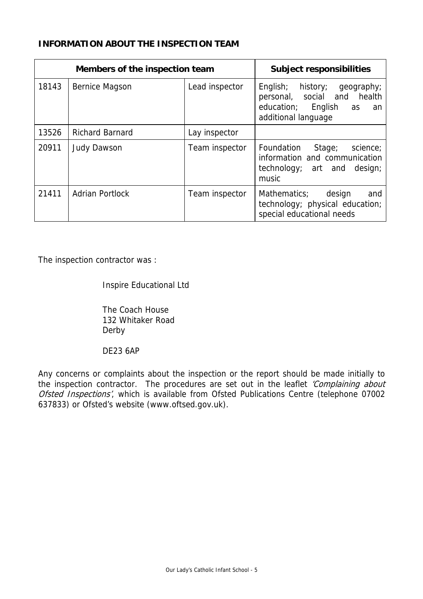# **INFORMATION ABOUT THE INSPECTION TEAM**

| Members of the inspection team |                        | <b>Subject responsibilities</b> |                                                                                                                            |
|--------------------------------|------------------------|---------------------------------|----------------------------------------------------------------------------------------------------------------------------|
| 18143                          | <b>Bernice Magson</b>  | Lead inspector                  | English;<br>history;<br>geography;<br>personal, social and health<br>education; English<br>as<br>an<br>additional language |
| 13526                          | <b>Richard Barnard</b> | Lay inspector                   |                                                                                                                            |
| 20911                          | <b>Judy Dawson</b>     | Team inspector                  | Foundation Stage;<br>science;<br>information and communication<br>technology; art and design;<br>music                     |
| 21411                          | <b>Adrian Portlock</b> | Team inspector                  | design<br>Mathematics;<br>and<br>technology; physical education;<br>special educational needs                              |

The inspection contractor was :

Inspire Educational Ltd

 The Coach House 132 Whitaker Road Derby

DE23 6AP

Any concerns or complaints about the inspection or the report should be made initially to the inspection contractor. The procedures are set out in the leaflet 'Complaining about Ofsted Inspections', which is available from Ofsted Publications Centre (telephone 07002 637833) or Ofsted's website (www.oftsed.gov.uk).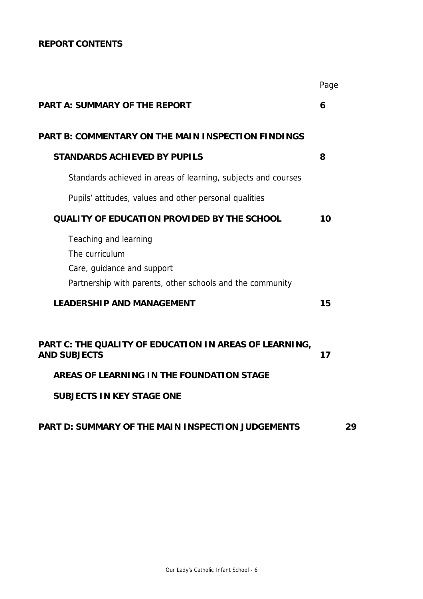# **REPORT CONTENTS**

|                                                                                                                                    | Page |
|------------------------------------------------------------------------------------------------------------------------------------|------|
| <b>PART A: SUMMARY OF THE REPORT</b>                                                                                               | 6    |
| <b>PART B: COMMENTARY ON THE MAIN INSPECTION FINDINGS</b>                                                                          |      |
| <b>STANDARDS ACHIEVED BY PUPILS</b>                                                                                                | 8    |
| Standards achieved in areas of learning, subjects and courses                                                                      |      |
| Pupils' attitudes, values and other personal qualities                                                                             |      |
| QUALITY OF EDUCATION PROVIDED BY THE SCHOOL                                                                                        | 10   |
| Teaching and learning<br>The curriculum<br>Care, guidance and support<br>Partnership with parents, other schools and the community |      |
| <b>LEADERSHIP AND MANAGEMENT</b>                                                                                                   | 15   |
| PART C: THE QUALITY OF EDUCATION IN AREAS OF LEARNING,<br><b>AND SUBJECTS</b>                                                      | 17   |
| AREAS OF LEARNING IN THE FOUNDATION STAGE                                                                                          |      |
| <b>SUBJECTS IN KEY STAGE ONE</b>                                                                                                   |      |
|                                                                                                                                    |      |

# **PART D: SUMMARY OF THE MAIN INSPECTION JUDGEMENTS 29**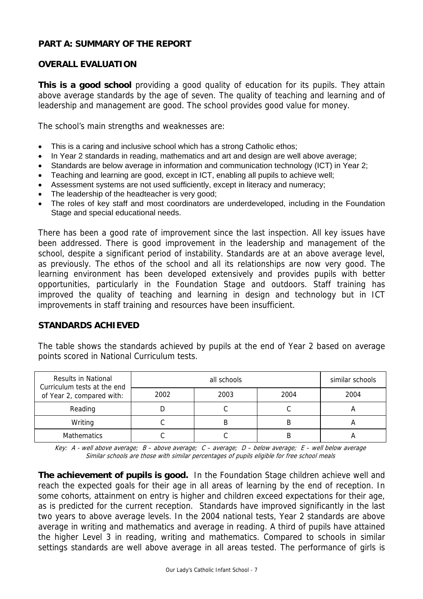# **PART A: SUMMARY OF THE REPORT**

# **OVERALL EVALUATION**

**This is a good school** providing a good quality of education for its pupils. They attain above average standards by the age of seven. The quality of teaching and learning and of leadership and management are good. The school provides good value for money.

The school's main strengths and weaknesses are:

- This is a caring and inclusive school which has a strong Catholic ethos:
- In Year 2 standards in reading, mathematics and art and design are well above average;
- Standards are below average in information and communication technology (ICT) in Year 2;
- Teaching and learning are good, except in ICT, enabling all pupils to achieve well;
- Assessment systems are not used sufficiently, except in literacy and numeracy;
- The leadership of the headteacher is very good;
- The roles of key staff and most coordinators are underdeveloped, including in the Foundation Stage and special educational needs.

There has been a good rate of improvement since the last inspection. All key issues have been addressed. There is good improvement in the leadership and management of the school, despite a significant period of instability. Standards are at an above average level, as previously. The ethos of the school and all its relationships are now very good. The learning environment has been developed extensively and provides pupils with better opportunities, particularly in the Foundation Stage and outdoors. Staff training has improved the quality of teaching and learning in design and technology but in ICT improvements in staff training and resources have been insufficient.

### **STANDARDS ACHIEVED**

The table shows the standards achieved by pupils at the end of Year 2 based on average points scored in National Curriculum tests.

| Results in National<br>Curriculum tests at the end |      | similar schools |      |      |
|----------------------------------------------------|------|-----------------|------|------|
| of Year 2, compared with:                          | 2002 | 2003            | 2004 | 2004 |
| Reading                                            |      | ີ               |      | n    |
| Writing                                            |      | B               | ĸ    |      |
| <b>Mathematics</b>                                 |      |                 | ĸ    |      |

Key: A - well above average; B – above average; C – average; D – below average; E – well below average Similar schools are those with similar percentages of pupils eligible for free school meals

**The achievement of pupils is good.** In the Foundation Stage children achieve well and reach the expected goals for their age in all areas of learning by the end of reception. In some cohorts, attainment on entry is higher and children exceed expectations for their age, as is predicted for the current reception. Standards have improved significantly in the last two years to above average levels. In the 2004 national tests, Year 2 standards are above average in writing and mathematics and average in reading. A third of pupils have attained the higher Level 3 in reading, writing and mathematics. Compared to schools in similar settings standards are well above average in all areas tested. The performance of girls is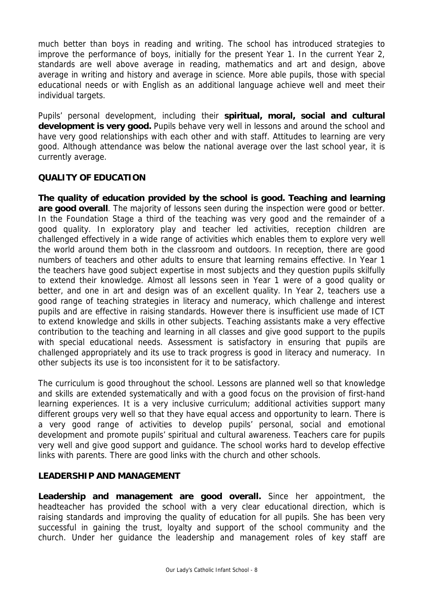much better than boys in reading and writing. The school has introduced strategies to improve the performance of boys, initially for the present Year 1. In the current Year 2, standards are well above average in reading, mathematics and art and design, above average in writing and history and average in science. More able pupils, those with special educational needs or with English as an additional language achieve well and meet their individual targets.

Pupils' personal development, including their **spiritual, moral, social and cultural**  development is very good. Pupils behave very well in lessons and around the school and have very good relationships with each other and with staff. Attitudes to learning are very good. Although attendance was below the national average over the last school year, it is currently average.

# **QUALITY OF EDUCATION**

**The quality of education provided by the school is good. Teaching and learning are good overall**. The majority of lessons seen during the inspection were good or better. In the Foundation Stage a third of the teaching was very good and the remainder of a good quality. In exploratory play and teacher led activities, reception children are challenged effectively in a wide range of activities which enables them to explore very well the world around them both in the classroom and outdoors. In reception, there are good numbers of teachers and other adults to ensure that learning remains effective. In Year 1 the teachers have good subject expertise in most subjects and they question pupils skilfully to extend their knowledge. Almost all lessons seen in Year 1 were of a good quality or better, and one in art and design was of an excellent quality. In Year 2, teachers use a good range of teaching strategies in literacy and numeracy, which challenge and interest pupils and are effective in raising standards. However there is insufficient use made of ICT to extend knowledge and skills in other subjects. Teaching assistants make a very effective contribution to the teaching and learning in all classes and give good support to the pupils with special educational needs. Assessment is satisfactory in ensuring that pupils are challenged appropriately and its use to track progress is good in literacy and numeracy. In other subjects its use is too inconsistent for it to be satisfactory.

The curriculum is good throughout the school. Lessons are planned well so that knowledge and skills are extended systematically and with a good focus on the provision of first-hand learning experiences. It is a very inclusive curriculum; additional activities support many different groups very well so that they have equal access and opportunity to learn. There is a very good range of activities to develop pupils' personal, social and emotional development and promote pupils' spiritual and cultural awareness. Teachers care for pupils very well and give good support and guidance. The school works hard to develop effective links with parents. There are good links with the church and other schools.

# **LEADERSHIP AND MANAGEMENT**

**Leadership and management are good overall.** Since her appointment, the headteacher has provided the school with a very clear educational direction, which is raising standards and improving the quality of education for all pupils. She has been very successful in gaining the trust, loyalty and support of the school community and the church. Under her guidance the leadership and management roles of key staff are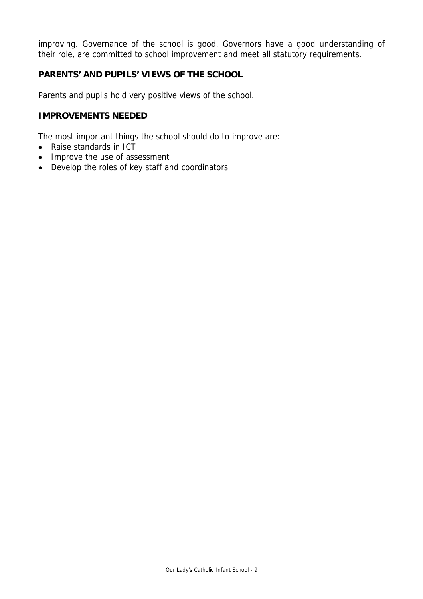improving. Governance of the school is good. Governors have a good understanding of their role, are committed to school improvement and meet all statutory requirements.

# **PARENTS' AND PUPILS' VIEWS OF THE SCHOOL**

Parents and pupils hold very positive views of the school.

# **IMPROVEMENTS NEEDED**

The most important things the school should do to improve are:

- Raise standards in ICT
- Improve the use of assessment
- Develop the roles of key staff and coordinators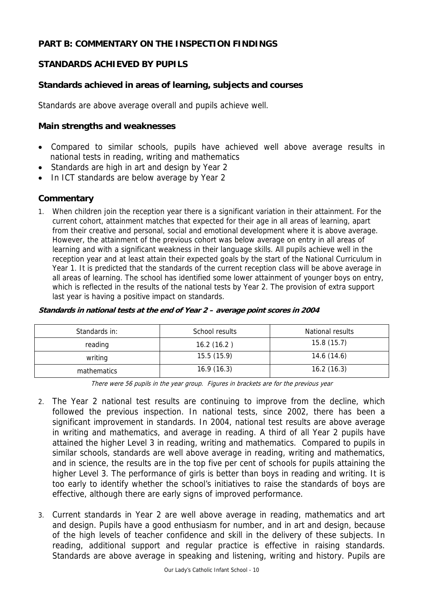# **PART B: COMMENTARY ON THE INSPECTION FINDINGS**

# **STANDARDS ACHIEVED BY PUPILS**

# **Standards achieved in areas of learning, subjects and courses**

Standards are above average overall and pupils achieve well.

#### **Main strengths and weaknesses**

- Compared to similar schools, pupils have achieved well above average results in national tests in reading, writing and mathematics
- Standards are high in art and design by Year 2
- In ICT standards are below average by Year 2

### **Commentary**

1. When children join the reception year there is a significant variation in their attainment. For the current cohort, attainment matches that expected for their age in all areas of learning, apart from their creative and personal, social and emotional development where it is above average. However, the attainment of the previous cohort was below average on entry in all areas of learning and with a significant weakness in their language skills. All pupils achieve well in the reception year and at least attain their expected goals by the start of the National Curriculum in Year 1. It is predicted that the standards of the current reception class will be above average in all areas of learning. The school has identified some lower attainment of younger boys on entry, which is reflected in the results of the national tests by Year 2. The provision of extra support last year is having a positive impact on standards.

| Standards in: | School results | National results |
|---------------|----------------|------------------|
| reading       | 16.2(16.2)     | 15.8(15.7)       |
| writing       | 15.5(15.9)     | 14.6 (14.6)      |
| mathematics   | 16.9(16.3)     | 16.2(16.3)       |

#### **Standards in national tests at the end of Year 2 – average point scores in 2004**

There were 56 pupils in the year group. Figures in brackets are for the previous year

- 2. The Year 2 national test results are continuing to improve from the decline, which followed the previous inspection. In national tests, since 2002, there has been a significant improvement in standards. In 2004, national test results are above average in writing and mathematics, and average in reading. A third of all Year 2 pupils have attained the higher Level 3 in reading, writing and mathematics. Compared to pupils in similar schools, standards are well above average in reading, writing and mathematics, and in science, the results are in the top five per cent of schools for pupils attaining the higher Level 3. The performance of girls is better than boys in reading and writing. It is too early to identify whether the school's initiatives to raise the standards of boys are effective, although there are early signs of improved performance.
- 3. Current standards in Year 2 are well above average in reading, mathematics and art and design. Pupils have a good enthusiasm for number, and in art and design, because of the high levels of teacher confidence and skill in the delivery of these subjects. In reading, additional support and regular practice is effective in raising standards. Standards are above average in speaking and listening, writing and history. Pupils are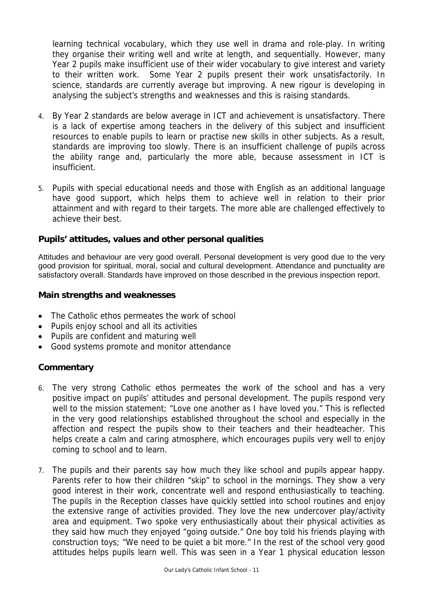learning technical vocabulary, which they use well in drama and role-play. In writing they organise their writing well and write at length, and sequentially. However, many Year 2 pupils make insufficient use of their wider vocabulary to give interest and variety to their written work. Some Year 2 pupils present their work unsatisfactorily. In science, standards are currently average but improving. A new rigour is developing in analysing the subject's strengths and weaknesses and this is raising standards.

- 4. By Year 2 standards are below average in ICT and achievement is unsatisfactory. There is a lack of expertise among teachers in the delivery of this subject and insufficient resources to enable pupils to learn or practise new skills in other subjects. As a result, standards are improving too slowly. There is an insufficient challenge of pupils across the ability range and, particularly the more able, because assessment in ICT is insufficient.
- 5. Pupils with special educational needs and those with English as an additional language have good support, which helps them to achieve well in relation to their prior attainment and with regard to their targets. The more able are challenged effectively to achieve their best.

### **Pupils' attitudes, values and other personal qualities**

Attitudes and behaviour are very good overall. Personal development is very good due to the very good provision for spiritual, moral, social and cultural development. Attendance and punctuality are satisfactory overall. Standards have improved on those described in the previous inspection report.

#### **Main strengths and weaknesses**

- The Catholic ethos permeates the work of school
- Pupils enjoy school and all its activities
- Pupils are confident and maturing well
- Good systems promote and monitor attendance

- 6. The very strong Catholic ethos permeates the work of the school and has a very positive impact on pupils' attitudes and personal development. The pupils respond very well to the mission statement; "Love one another as I have loved you." This is reflected in the very good relationships established throughout the school and especially in the affection and respect the pupils show to their teachers and their headteacher. This helps create a calm and caring atmosphere, which encourages pupils very well to enjoy coming to school and to learn.
- 7. The pupils and their parents say how much they like school and pupils appear happy. Parents refer to how their children "skip" to school in the mornings. They show a very good interest in their work, concentrate well and respond enthusiastically to teaching. The pupils in the Reception classes have quickly settled into school routines and enjoy the extensive range of activities provided. They love the new undercover play/activity area and equipment. Two spoke very enthusiastically about their physical activities as they said how much they enjoyed "going outside." One boy told his friends playing with construction toys; "We need to be quiet a bit more." In the rest of the school very good attitudes helps pupils learn well. This was seen in a Year 1 physical education lesson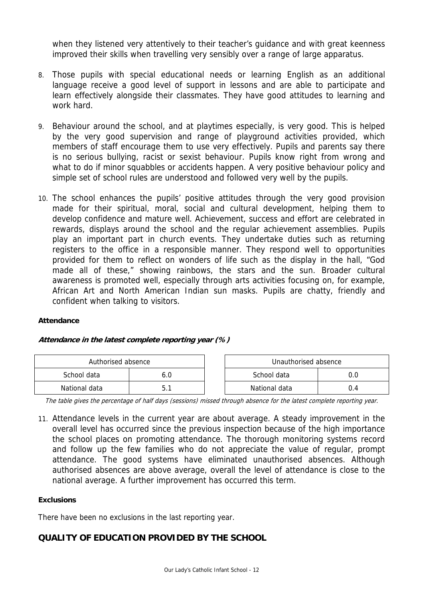when they listened very attentively to their teacher's guidance and with great keenness improved their skills when travelling very sensibly over a range of large apparatus.

- 8. Those pupils with special educational needs or learning English as an additional language receive a good level of support in lessons and are able to participate and learn effectively alongside their classmates. They have good attitudes to learning and work hard.
- 9. Behaviour around the school, and at playtimes especially, is very good. This is helped by the very good supervision and range of playground activities provided, which members of staff encourage them to use very effectively. Pupils and parents say there is no serious bullying, racist or sexist behaviour. Pupils know right from wrong and what to do if minor squabbles or accidents happen. A very positive behaviour policy and simple set of school rules are understood and followed very well by the pupils.
- 10. The school enhances the pupils' positive attitudes through the very good provision made for their spiritual, moral, social and cultural development, helping them to develop confidence and mature well. Achievement, success and effort are celebrated in rewards, displays around the school and the regular achievement assemblies. Pupils play an important part in church events. They undertake duties such as returning registers to the office in a responsible manner. They respond well to opportunities provided for them to reflect on wonders of life such as the display in the hall, "God made all of these," showing rainbows, the stars and the sun. Broader cultural awareness is promoted well, especially through arts activities focusing on, for example, African Art and North American Indian sun masks. Pupils are chatty, friendly and confident when talking to visitors.

#### **Attendance**

#### **Attendance in the latest complete reporting year (%)**

| Authorised absence |     | Unauthorised absence |     |
|--------------------|-----|----------------------|-----|
| School data        | 6.C | School data          |     |
| National data      |     | National data        | J.4 |

The table gives the percentage of half days (sessions) missed through absence for the latest complete reporting year.

11. Attendance levels in the current year are about average. A steady improvement in the overall level has occurred since the previous inspection because of the high importance the school places on promoting attendance. The thorough monitoring systems record and follow up the few families who do not appreciate the value of regular, prompt attendance. The good systems have eliminated unauthorised absences. Although authorised absences are above average, overall the level of attendance is close to the national average. A further improvement has occurred this term.

#### **Exclusions**

There have been no exclusions in the last reporting year.

# **QUALITY OF EDUCATION PROVIDED BY THE SCHOOL**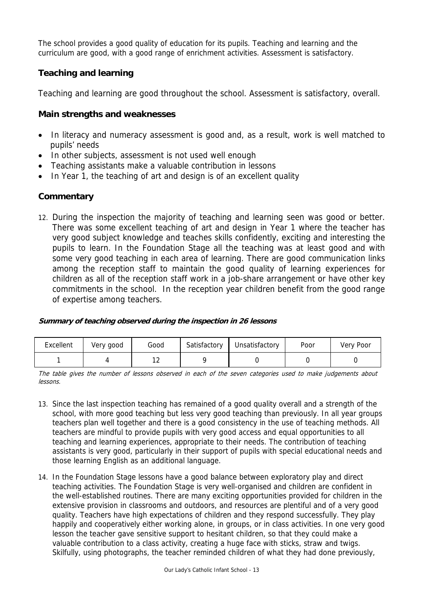The school provides a good quality of education for its pupils. Teaching and learning and the curriculum are good, with a good range of enrichment activities. Assessment is satisfactory.

# **Teaching and learning**

Teaching and learning are good throughout the school. Assessment is satisfactory, overall.

# **Main strengths and weaknesses**

- In literacy and numeracy assessment is good and, as a result, work is well matched to pupils' needs
- In other subjects, assessment is not used well enough
- Teaching assistants make a valuable contribution in lessons
- In Year 1, the teaching of art and design is of an excellent quality

# **Commentary**

12. During the inspection the majority of teaching and learning seen was good or better. There was some excellent teaching of art and design in Year 1 where the teacher has very good subject knowledge and teaches skills confidently, exciting and interesting the pupils to learn. In the Foundation Stage all the teaching was at least good and with some very good teaching in each area of learning. There are good communication links among the reception staff to maintain the good quality of learning experiences for children as all of the reception staff work in a job-share arrangement or have other key commitments in the school. In the reception year children benefit from the good range of expertise among teachers.

#### **Summary of teaching observed during the inspection in 26 lessons**

| Excellent | Very good | Good     | Satisfactory | Unsatisfactory | Poor | <b>Very Poor</b> |
|-----------|-----------|----------|--------------|----------------|------|------------------|
|           |           | <u>_</u> |              |                |      |                  |

The table gives the number of lessons observed in each of the seven categories used to make judgements about lessons.

- 13. Since the last inspection teaching has remained of a good quality overall and a strength of the school, with more good teaching but less very good teaching than previously. In all year groups teachers plan well together and there is a good consistency in the use of teaching methods. All teachers are mindful to provide pupils with very good access and equal opportunities to all teaching and learning experiences, appropriate to their needs. The contribution of teaching assistants is very good, particularly in their support of pupils with special educational needs and those learning English as an additional language.
- 14. In the Foundation Stage lessons have a good balance between exploratory play and direct teaching activities. The Foundation Stage is very well-organised and children are confident in the well-established routines. There are many exciting opportunities provided for children in the extensive provision in classrooms and outdoors, and resources are plentiful and of a very good quality. Teachers have high expectations of children and they respond successfully. They play happily and cooperatively either working alone, in groups, or in class activities. In one very good lesson the teacher gave sensitive support to hesitant children, so that they could make a valuable contribution to a class activity, creating a huge face with sticks, straw and twigs. Skilfully, using photographs, the teacher reminded children of what they had done previously,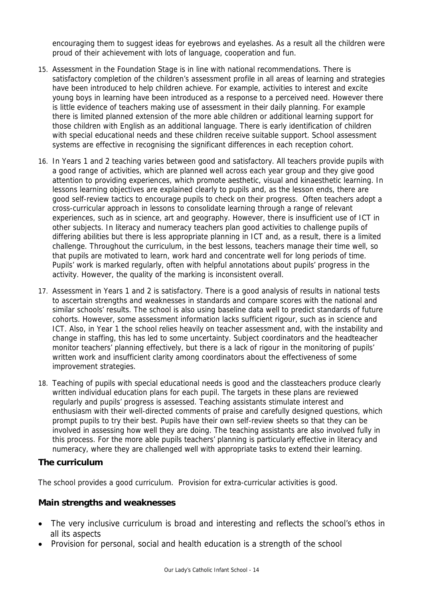encouraging them to suggest ideas for eyebrows and eyelashes. As a result all the children were proud of their achievement with lots of language, cooperation and fun.

- 15. Assessment in the Foundation Stage is in line with national recommendations. There is satisfactory completion of the children's assessment profile in all areas of learning and strategies have been introduced to help children achieve. For example, activities to interest and excite young boys in learning have been introduced as a response to a perceived need. However there is little evidence of teachers making use of assessment in their daily planning. For example there is limited planned extension of the more able children or additional learning support for those children with English as an additional language. There is early identification of children with special educational needs and these children receive suitable support. School assessment systems are effective in recognising the significant differences in each reception cohort.
- 16. In Years 1 and 2 teaching varies between good and satisfactory. All teachers provide pupils with a good range of activities, which are planned well across each year group and they give good attention to providing experiences, which promote aesthetic, visual and kinaesthetic learning. In lessons learning objectives are explained clearly to pupils and, as the lesson ends, there are good self-review tactics to encourage pupils to check on their progress. Often teachers adopt a cross-curricular approach in lessons to consolidate learning through a range of relevant experiences, such as in science, art and geography. However, there is insufficient use of ICT in other subjects. In literacy and numeracy teachers plan good activities to challenge pupils of differing abilities but there is less appropriate planning in ICT and, as a result, there is a limited challenge. Throughout the curriculum, in the best lessons, teachers manage their time well, so that pupils are motivated to learn, work hard and concentrate well for long periods of time. Pupils' work is marked regularly, often with helpful annotations about pupils' progress in the activity. However, the quality of the marking is inconsistent overall.
- 17. Assessment in Years 1 and 2 is satisfactory. There is a good analysis of results in national tests to ascertain strengths and weaknesses in standards and compare scores with the national and similar schools' results. The school is also using baseline data well to predict standards of future cohorts. However, some assessment information lacks sufficient rigour, such as in science and ICT. Also, in Year 1 the school relies heavily on teacher assessment and, with the instability and change in staffing, this has led to some uncertainty. Subject coordinators and the headteacher monitor teachers' planning effectively, but there is a lack of rigour in the monitoring of pupils' written work and insufficient clarity among coordinators about the effectiveness of some improvement strategies.
- 18. Teaching of pupils with special educational needs is good and the classteachers produce clearly written individual education plans for each pupil. The targets in these plans are reviewed regularly and pupils' progress is assessed. Teaching assistants stimulate interest and enthusiasm with their well-directed comments of praise and carefully designed questions, which prompt pupils to try their best. Pupils have their own self-review sheets so that they can be involved in assessing how well they are doing. The teaching assistants are also involved fully in this process. For the more able pupils teachers' planning is particularly effective in literacy and numeracy, where they are challenged well with appropriate tasks to extend their learning.

#### **The curriculum**

The school provides a good curriculum. Provision for extra-curricular activities is good.

### **Main strengths and weaknesses**

- The very inclusive curriculum is broad and interesting and reflects the school's ethos in all its aspects
- Provision for personal, social and health education is a strength of the school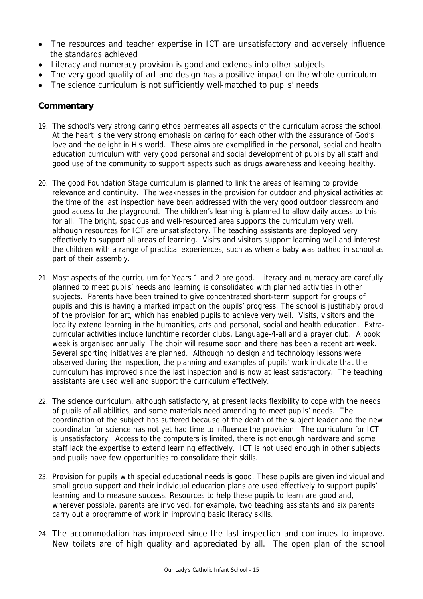- The resources and teacher expertise in ICT are unsatisfactory and adversely influence the standards achieved
- Literacy and numeracy provision is good and extends into other subjects
- The very good quality of art and design has a positive impact on the whole curriculum
- The science curriculum is not sufficiently well-matched to pupils' needs

- 19. The school's very strong caring ethos permeates all aspects of the curriculum across the school. At the heart is the very strong emphasis on caring for each other with the assurance of God's love and the delight in His world. These aims are exemplified in the personal, social and health education curriculum with very good personal and social development of pupils by all staff and good use of the community to support aspects such as drugs awareness and keeping healthy.
- 20. The good Foundation Stage curriculum is planned to link the areas of learning to provide relevance and continuity. The weaknesses in the provision for outdoor and physical activities at the time of the last inspection have been addressed with the very good outdoor classroom and good access to the playground. The children's learning is planned to allow daily access to this for all. The bright, spacious and well-resourced area supports the curriculum very well, although resources for ICT are unsatisfactory. The teaching assistants are deployed very effectively to support all areas of learning. Visits and visitors support learning well and interest the children with a range of practical experiences, such as when a baby was bathed in school as part of their assembly.
- 21. Most aspects of the curriculum for Years 1 and 2 are good. Literacy and numeracy are carefully planned to meet pupils' needs and learning is consolidated with planned activities in other subjects. Parents have been trained to give concentrated short-term support for groups of pupils and this is having a marked impact on the pupils' progress. The school is justifiably proud of the provision for art, which has enabled pupils to achieve very well. Visits, visitors and the locality extend learning in the humanities, arts and personal, social and health education. Extracurricular activities include lunchtime recorder clubs, Language-4-all and a prayer club. A book week is organised annually. The choir will resume soon and there has been a recent art week. Several sporting initiatives are planned. Although no design and technology lessons were observed during the inspection, the planning and examples of pupils' work indicate that the curriculum has improved since the last inspection and is now at least satisfactory. The teaching assistants are used well and support the curriculum effectively.
- 22. The science curriculum, although satisfactory, at present lacks flexibility to cope with the needs of pupils of all abilities, and some materials need amending to meet pupils' needs. The coordination of the subject has suffered because of the death of the subject leader and the new coordinator for science has not yet had time to influence the provision. The curriculum for ICT is unsatisfactory. Access to the computers is limited, there is not enough hardware and some staff lack the expertise to extend learning effectively. ICT is not used enough in other subjects and pupils have few opportunities to consolidate their skills.
- 23. Provision for pupils with special educational needs is good. These pupils are given individual and small group support and their individual education plans are used effectively to support pupils' learning and to measure success. Resources to help these pupils to learn are good and, wherever possible, parents are involved, for example, two teaching assistants and six parents carry out a programme of work in improving basic literacy skills.
- 24. The accommodation has improved since the last inspection and continues to improve. New toilets are of high quality and appreciated by all. The open plan of the school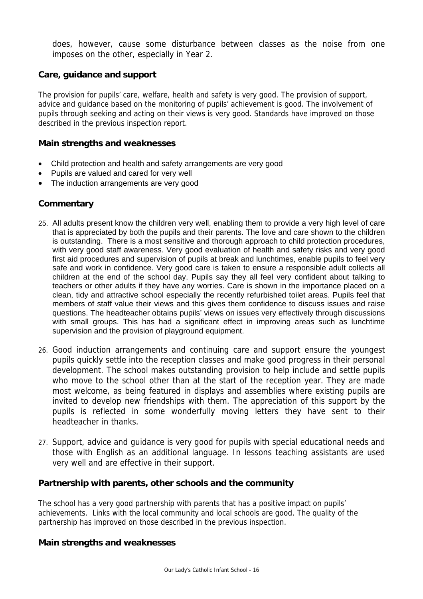does, however, cause some disturbance between classes as the noise from one imposes on the other, especially in Year 2.

#### **Care, guidance and support**

The provision for pupils' care, welfare, health and safety is very good. The provision of support, advice and guidance based on the monitoring of pupils' achievement is good. The involvement of pupils through seeking and acting on their views is very good. Standards have improved on those described in the previous inspection report.

#### **Main strengths and weaknesses**

- Child protection and health and safety arrangements are very good
- Pupils are valued and cared for very well
- The induction arrangements are very good

### **Commentary**

- 25. All adults present know the children very well, enabling them to provide a very high level of care that is appreciated by both the pupils and their parents. The love and care shown to the children is outstanding. There is a most sensitive and thorough approach to child protection procedures, with very good staff awareness. Very good evaluation of health and safety risks and very good first aid procedures and supervision of pupils at break and lunchtimes, enable pupils to feel very safe and work in confidence. Very good care is taken to ensure a responsible adult collects all children at the end of the school day. Pupils say they all feel very confident about talking to teachers or other adults if they have any worries. Care is shown in the importance placed on a clean, tidy and attractive school especially the recently refurbished toilet areas. Pupils feel that members of staff value their views and this gives them confidence to discuss issues and raise questions. The headteacher obtains pupils' views on issues very effectively through discussions with small groups. This has had a significant effect in improving areas such as lunchtime supervision and the provision of playground equipment.
- 26. Good induction arrangements and continuing care and support ensure the youngest pupils quickly settle into the reception classes and make good progress in their personal development. The school makes outstanding provision to help include and settle pupils who move to the school other than at the start of the reception year. They are made most welcome, as being featured in displays and assemblies where existing pupils are invited to develop new friendships with them. The appreciation of this support by the pupils is reflected in some wonderfully moving letters they have sent to their headteacher in thanks.
- 27. Support, advice and guidance is very good for pupils with special educational needs and those with English as an additional language. In lessons teaching assistants are used very well and are effective in their support.

### **Partnership with parents, other schools and the community**

The school has a very good partnership with parents that has a positive impact on pupils' achievements. Links with the local community and local schools are good. The quality of the partnership has improved on those described in the previous inspection.

#### **Main strengths and weaknesses**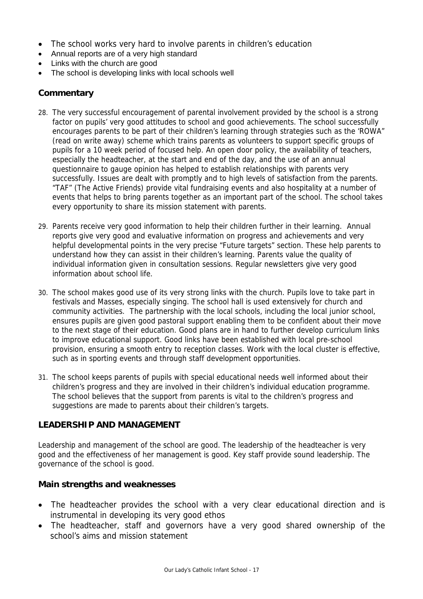- The school works very hard to involve parents in children's education
- Annual reports are of a very high standard
- Links with the church are good
- The school is developing links with local schools well

# **Commentary**

- 28. The very successful encouragement of parental involvement provided by the school is a strong factor on pupils' very good attitudes to school and good achievements. The school successfully encourages parents to be part of their children's learning through strategies such as the 'ROWA" (read on write away) scheme which trains parents as volunteers to support specific groups of pupils for a 10 week period of focused help. An open door policy, the availability of teachers, especially the headteacher, at the start and end of the day, and the use of an annual questionnaire to gauge opinion has helped to establish relationships with parents very successfully. Issues are dealt with promptly and to high levels of satisfaction from the parents. "TAF" (The Active Friends) provide vital fundraising events and also hospitality at a number of events that helps to bring parents together as an important part of the school. The school takes every opportunity to share its mission statement with parents.
- 29. Parents receive very good information to help their children further in their learning. Annual reports give very good and evaluative information on progress and achievements and very helpful developmental points in the very precise "Future targets" section. These help parents to understand how they can assist in their children's learning. Parents value the quality of individual information given in consultation sessions. Regular newsletters give very good information about school life.
- 30. The school makes good use of its very strong links with the church. Pupils love to take part in festivals and Masses, especially singing. The school hall is used extensively for church and community activities. The partnership with the local schools, including the local junior school, ensures pupils are given good pastoral support enabling them to be confident about their move to the next stage of their education. Good plans are in hand to further develop curriculum links to improve educational support. Good links have been established with local pre-school provision, ensuring a smooth entry to reception classes. Work with the local cluster is effective, such as in sporting events and through staff development opportunities.
- 31. The school keeps parents of pupils with special educational needs well informed about their children's progress and they are involved in their children's individual education programme. The school believes that the support from parents is vital to the children's progress and suggestions are made to parents about their children's targets.

### **LEADERSHIP AND MANAGEMENT**

Leadership and management of the school are good. The leadership of the headteacher is very good and the effectiveness of her management is good. Key staff provide sound leadership. The governance of the school is good.

### **Main strengths and weaknesses**

- The headteacher provides the school with a very clear educational direction and is instrumental in developing its very good ethos
- The headteacher, staff and governors have a very good shared ownership of the school's aims and mission statement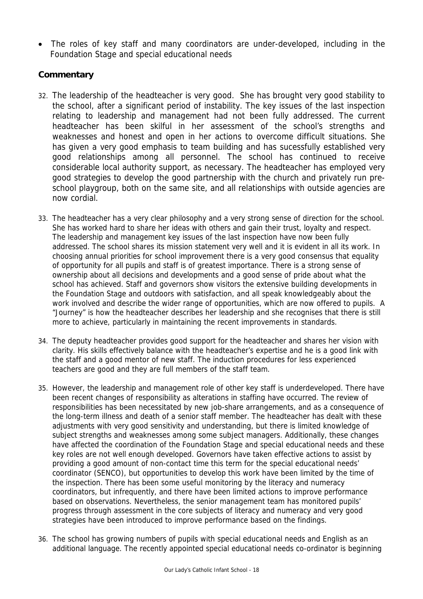• The roles of key staff and many coordinators are under-developed, including in the Foundation Stage and special educational needs

- 32. The leadership of the headteacher is very good. She has brought very good stability to the school, after a significant period of instability. The key issues of the last inspection relating to leadership and management had not been fully addressed. The current headteacher has been skilful in her assessment of the school's strengths and weaknesses and honest and open in her actions to overcome difficult situations. She has given a very good emphasis to team building and has sucessfully established very good relationships among all personnel. The school has continued to receive considerable local authority support, as necessary. The headteacher has employed very good strategies to develop the good partnership with the church and privately run preschool playgroup, both on the same site, and all relationships with outside agencies are now cordial.
- 33. The headteacher has a very clear philosophy and a very strong sense of direction for the school. She has worked hard to share her ideas with others and gain their trust, loyalty and respect. The leadership and management key issues of the last inspection have now been fully addressed. The school shares its mission statement very well and it is evident in all its work. In choosing annual priorities for school improvement there is a very good consensus that equality of opportunity for all pupils and staff is of greatest importance. There is a strong sense of ownership about all decisions and developments and a good sense of pride about what the school has achieved. Staff and governors show visitors the extensive building developments in the Foundation Stage and outdoors with satisfaction, and all speak knowledgeably about the work involved and describe the wider range of opportunities, which are now offered to pupils. A "Journey" is how the headteacher describes her leadership and she recognises that there is still more to achieve, particularly in maintaining the recent improvements in standards.
- 34. The deputy headteacher provides good support for the headteacher and shares her vision with clarity. His skills effectively balance with the headteacher's expertise and he is a good link with the staff and a good mentor of new staff. The induction procedures for less experienced teachers are good and they are full members of the staff team.
- 35. However, the leadership and management role of other key staff is underdeveloped. There have been recent changes of responsibility as alterations in staffing have occurred. The review of responsibilities has been necessitated by new job-share arrangements, and as a consequence of the long-term illness and death of a senior staff member. The headteacher has dealt with these adjustments with very good sensitivity and understanding, but there is limited knowledge of subject strengths and weaknesses among some subject managers. Additionally, these changes have affected the coordination of the Foundation Stage and special educational needs and these key roles are not well enough developed. Governors have taken effective actions to assist by providing a good amount of non-contact time this term for the special educational needs' coordinator (SENCO), but opportunities to develop this work have been limited by the time of the inspection. There has been some useful monitoring by the literacy and numeracy coordinators, but infrequently, and there have been limited actions to improve performance based on observations. Nevertheless, the senior management team has monitored pupils' progress through assessment in the core subjects of literacy and numeracy and very good strategies have been introduced to improve performance based on the findings.
- 36. The school has growing numbers of pupils with special educational needs and English as an additional language. The recently appointed special educational needs co-ordinator is beginning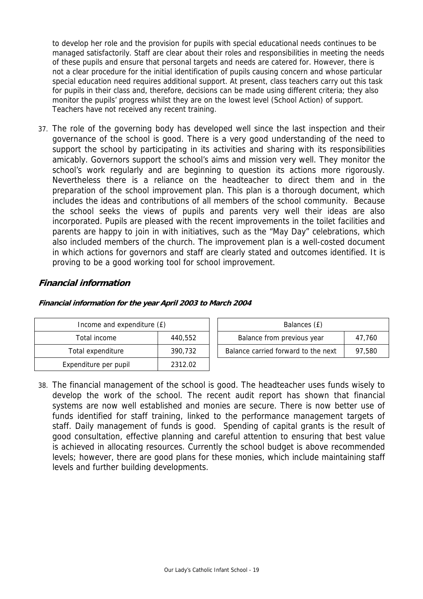to develop her role and the provision for pupils with special educational needs continues to be managed satisfactorily. Staff are clear about their roles and responsibilities in meeting the needs of these pupils and ensure that personal targets and needs are catered for. However, there is not a clear procedure for the initial identification of pupils causing concern and whose particular special education need requires additional support. At present, class teachers carry out this task for pupils in their class and, therefore, decisions can be made using different criteria; they also monitor the pupils' progress whilst they are on the lowest level (School Action) of support. Teachers have not received any recent training.

37. The role of the governing body has developed well since the last inspection and their governance of the school is good. There is a very good understanding of the need to support the school by participating in its activities and sharing with its responsibilities amicably. Governors support the school's aims and mission very well. They monitor the school's work regularly and are beginning to question its actions more rigorously. Nevertheless there is a reliance on the headteacher to direct them and in the preparation of the school improvement plan. This plan is a thorough document, which includes the ideas and contributions of all members of the school community. Because the school seeks the views of pupils and parents very well their ideas are also incorporated. Pupils are pleased with the recent improvements in the toilet facilities and parents are happy to join in with initiatives, such as the "May Day" celebrations, which also included members of the church. The improvement plan is a well-costed document in which actions for governors and staff are clearly stated and outcomes identified. It is proving to be a good working tool for school improvement.

# **Financial information**

| Income and expenditure (£) |         | Balances (£)                        |        |
|----------------------------|---------|-------------------------------------|--------|
| Total income               | 440.552 | Balance from previous year          | 47.760 |
| Total expenditure          | 390.732 | Balance carried forward to the next | 97.580 |
| Expenditure per pupil      | 2312.02 |                                     |        |

**Financial information for the year April 2003 to March 2004**

38. The financial management of the school is good. The headteacher uses funds wisely to develop the work of the school. The recent audit report has shown that financial systems are now well established and monies are secure. There is now better use of funds identified for staff training, linked to the performance management targets of staff. Daily management of funds is good. Spending of capital grants is the result of good consultation, effective planning and careful attention to ensuring that best value is achieved in allocating resources. Currently the school budget is above recommended levels; however, there are good plans for these monies, which include maintaining staff levels and further building developments.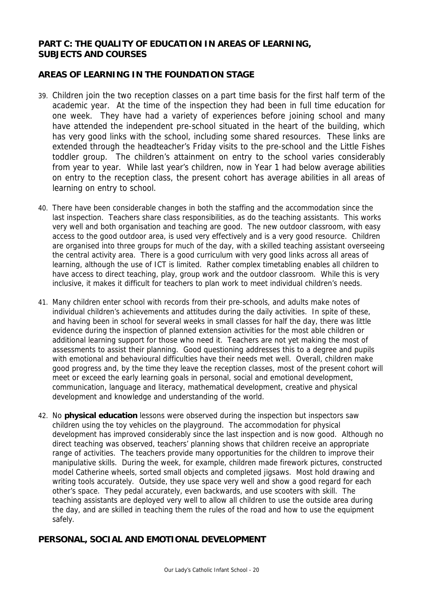# **PART C: THE QUALITY OF EDUCATION IN AREAS OF LEARNING, SUBJECTS AND COURSES**

# **AREAS OF LEARNING IN THE FOUNDATION STAGE**

- 39. Children join the two reception classes on a part time basis for the first half term of the academic year. At the time of the inspection they had been in full time education for one week. They have had a variety of experiences before joining school and many have attended the independent pre-school situated in the heart of the building, which has very good links with the school, including some shared resources. These links are extended through the headteacher's Friday visits to the pre-school and the Little Fishes toddler group. The children's attainment on entry to the school varies considerably from year to year. While last year's children, now in Year 1 had below average abilities on entry to the reception class, the present cohort has average abilities in all areas of learning on entry to school.
- 40. There have been considerable changes in both the staffing and the accommodation since the last inspection. Teachers share class responsibilities, as do the teaching assistants. This works very well and both organisation and teaching are good. The new outdoor classroom, with easy access to the good outdoor area, is used very effectively and is a very good resource. Children are organised into three groups for much of the day, with a skilled teaching assistant overseeing the central activity area. There is a good curriculum with very good links across all areas of learning, although the use of ICT is limited. Rather complex timetabling enables all children to have access to direct teaching, play, group work and the outdoor classroom. While this is very inclusive, it makes it difficult for teachers to plan work to meet individual children's needs.
- 41. Many children enter school with records from their pre-schools, and adults make notes of individual children's achievements and attitudes during the daily activities. In spite of these, and having been in school for several weeks in small classes for half the day, there was little evidence during the inspection of planned extension activities for the most able children or additional learning support for those who need it. Teachers are not yet making the most of assessments to assist their planning. Good questioning addresses this to a degree and pupils with emotional and behavioural difficulties have their needs met well. Overall, children make good progress and, by the time they leave the reception classes, most of the present cohort will meet or exceed the early learning goals in personal, social and emotional development, communication, language and literacy, mathematical development, creative and physical development and knowledge and understanding of the world.
- 42. No **physical education** lessons were observed during the inspection but inspectors saw children using the toy vehicles on the playground. The accommodation for physical development has improved considerably since the last inspection and is now good. Although no direct teaching was observed, teachers' planning shows that children receive an appropriate range of activities. The teachers provide many opportunities for the children to improve their manipulative skills. During the week, for example, children made firework pictures, constructed model Catherine wheels, sorted small objects and completed jigsaws. Most hold drawing and writing tools accurately. Outside, they use space very well and show a good regard for each other's space. They pedal accurately, even backwards, and use scooters with skill. The teaching assistants are deployed very well to allow all children to use the outside area during the day, and are skilled in teaching them the rules of the road and how to use the equipment safely.

# **PERSONAL, SOCIAL AND EMOTIONAL DEVELOPMENT**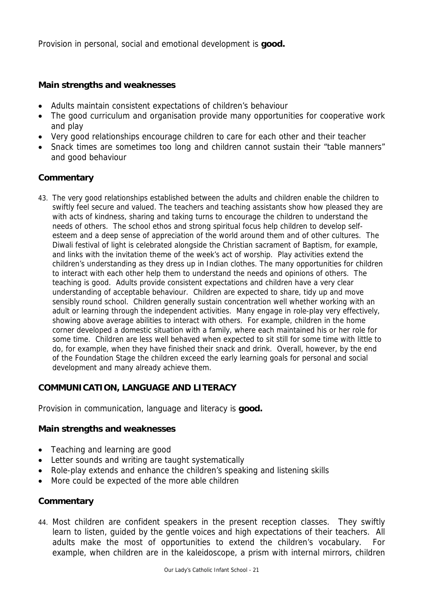Provision in personal, social and emotional development is **good.**

### **Main strengths and weaknesses**

- Adults maintain consistent expectations of children's behaviour
- The good curriculum and organisation provide many opportunities for cooperative work and play
- Very good relationships encourage children to care for each other and their teacher
- Snack times are sometimes too long and children cannot sustain their "table manners" and good behaviour

# **Commentary**

43. The very good relationships established between the adults and children enable the children to swiftly feel secure and valued. The teachers and teaching assistants show how pleased they are with acts of kindness, sharing and taking turns to encourage the children to understand the needs of others. The school ethos and strong spiritual focus help children to develop selfesteem and a deep sense of appreciation of the world around them and of other cultures. The Diwali festival of light is celebrated alongside the Christian sacrament of Baptism, for example, and links with the invitation theme of the week's act of worship. Play activities extend the children's understanding as they dress up in Indian clothes. The many opportunities for children to interact with each other help them to understand the needs and opinions of others. The teaching is good. Adults provide consistent expectations and children have a very clear understanding of acceptable behaviour. Children are expected to share, tidy up and move sensibly round school. Children generally sustain concentration well whether working with an adult or learning through the independent activities. Many engage in role-play very effectively, showing above average abilities to interact with others. For example, children in the home corner developed a domestic situation with a family, where each maintained his or her role for some time. Children are less well behaved when expected to sit still for some time with little to do, for example, when they have finished their snack and drink. Overall, however, by the end of the Foundation Stage the children exceed the early learning goals for personal and social development and many already achieve them.

### **COMMUNICATION, LANGUAGE AND LITERACY**

Provision in communication, language and literacy is **good.**

### **Main strengths and weaknesses**

- Teaching and learning are good
- Letter sounds and writing are taught systematically
- Role-play extends and enhance the children's speaking and listening skills
- More could be expected of the more able children

### **Commentary**

44. Most children are confident speakers in the present reception classes. They swiftly learn to listen, guided by the gentle voices and high expectations of their teachers. All adults make the most of opportunities to extend the children's vocabulary. For example, when children are in the kaleidoscope, a prism with internal mirrors, children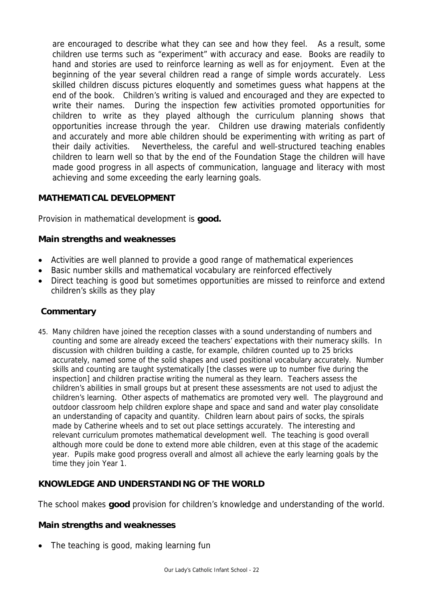are encouraged to describe what they can see and how they feel. As a result, some children use terms such as "experiment" with accuracy and ease. Books are readily to hand and stories are used to reinforce learning as well as for enjoyment. Even at the beginning of the year several children read a range of simple words accurately. Less skilled children discuss pictures eloquently and sometimes guess what happens at the end of the book. Children's writing is valued and encouraged and they are expected to write their names. During the inspection few activities promoted opportunities for children to write as they played although the curriculum planning shows that opportunities increase through the year. Children use drawing materials confidently and accurately and more able children should be experimenting with writing as part of their daily activities. Nevertheless, the careful and well-structured teaching enables children to learn well so that by the end of the Foundation Stage the children will have made good progress in all aspects of communication, language and literacy with most achieving and some exceeding the early learning goals.

# **MATHEMATICAL DEVELOPMENT**

Provision in mathematical development is **good.**

# **Main strengths and weaknesses**

- Activities are well planned to provide a good range of mathematical experiences
- Basic number skills and mathematical vocabulary are reinforced effectively
- Direct teaching is good but sometimes opportunities are missed to reinforce and extend children's skills as they play

### **Commentary**

45. Many children have joined the reception classes with a sound understanding of numbers and counting and some are already exceed the teachers' expectations with their numeracy skills. In discussion with children building a castle, for example, children counted up to 25 bricks accurately, named some of the solid shapes and used positional vocabulary accurately. Number skills and counting are taught systematically [the classes were up to number five during the inspection] and children practise writing the numeral as they learn. Teachers assess the children's abilities in small groups but at present these assessments are not used to adjust the children's learning. Other aspects of mathematics are promoted very well. The playground and outdoor classroom help children explore shape and space and sand and water play consolidate an understanding of capacity and quantity. Children learn about pairs of socks, the spirals made by Catherine wheels and to set out place settings accurately. The interesting and relevant curriculum promotes mathematical development well. The teaching is good overall although more could be done to extend more able children, even at this stage of the academic year. Pupils make good progress overall and almost all achieve the early learning goals by the time they join Year 1.

# **KNOWLEDGE AND UNDERSTANDING OF THE WORLD**

The school makes **good** provision for children's knowledge and understanding of the world.

### **Main strengths and weaknesses**

The teaching is good, making learning fun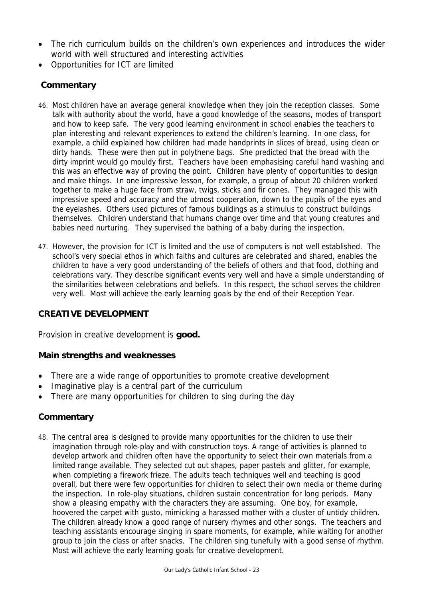- The rich curriculum builds on the children's own experiences and introduces the wider world with well structured and interesting activities
- Opportunities for ICT are limited

# **Commentary**

- 46. Most children have an average general knowledge when they join the reception classes. Some talk with authority about the world, have a good knowledge of the seasons, modes of transport and how to keep safe. The very good learning environment in school enables the teachers to plan interesting and relevant experiences to extend the children's learning. In one class, for example, a child explained how children had made handprints in slices of bread, using clean or dirty hands. These were then put in polythene bags. She predicted that the bread with the dirty imprint would go mouldy first. Teachers have been emphasising careful hand washing and this was an effective way of proving the point. Children have plenty of opportunities to design and make things. In one impressive lesson, for example, a group of about 20 children worked together to make a huge face from straw, twigs, sticks and fir cones. They managed this with impressive speed and accuracy and the utmost cooperation, down to the pupils of the eyes and the eyelashes. Others used pictures of famous buildings as a stimulus to construct buildings themselves. Children understand that humans change over time and that young creatures and babies need nurturing. They supervised the bathing of a baby during the inspection.
- 47. However, the provision for ICT is limited and the use of computers is not well established. The school's very special ethos in which faiths and cultures are celebrated and shared, enables the children to have a very good understanding of the beliefs of others and that food, clothing and celebrations vary. They describe significant events very well and have a simple understanding of the similarities between celebrations and beliefs. In this respect, the school serves the children very well. Most will achieve the early learning goals by the end of their Reception Year.

# **CREATIVE DEVELOPMENT**

Provision in creative development is **good.**

### **Main strengths and weaknesses**

- There are a wide range of opportunities to promote creative development
- Imaginative play is a central part of the curriculum
- There are many opportunities for children to sing during the day

# **Commentary**

48. The central area is designed to provide many opportunities for the children to use their imagination through role-play and with construction toys. A range of activities is planned to develop artwork and children often have the opportunity to select their own materials from a limited range available. They selected cut out shapes, paper pastels and glitter, for example, when completing a firework frieze. The adults teach techniques well and teaching is good overall, but there were few opportunities for children to select their own media or theme during the inspection. In role-play situations, children sustain concentration for long periods. Many show a pleasing empathy with the characters they are assuming. One boy, for example, hoovered the carpet with gusto, mimicking a harassed mother with a cluster of untidy children. The children already know a good range of nursery rhymes and other songs. The teachers and teaching assistants encourage singing in spare moments, for example, while waiting for another group to join the class or after snacks. The children sing tunefully with a good sense of rhythm. Most will achieve the early learning goals for creative development.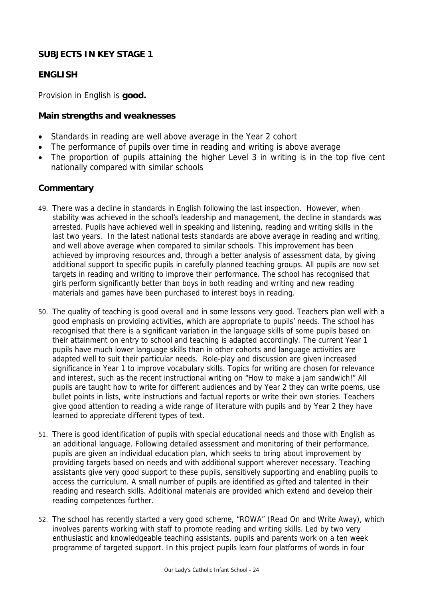# **SUBJECTS IN KEY STAGE 1**

# **ENGLISH**

Provision in English is **good.**

#### **Main strengths and weaknesses**

- Standards in reading are well above average in the Year 2 cohort
- The performance of pupils over time in reading and writing is above average
- The proportion of pupils attaining the higher Level 3 in writing is in the top five cent nationally compared with similar schools

- 49. There was a decline in standards in English following the last inspection. However, when stability was achieved in the school's leadership and management, the decline in standards was arrested. Pupils have achieved well in speaking and listening, reading and writing skills in the last two years. In the latest national tests standards are above average in reading and writing, and well above average when compared to similar schools. This improvement has been achieved by improving resources and, through a better analysis of assessment data, by giving additional support to specific pupils in carefully planned teaching groups. All pupils are now set targets in reading and writing to improve their performance. The school has recognised that girls perform significantly better than boys in both reading and writing and new reading materials and games have been purchased to interest boys in reading.
- 50. The quality of teaching is good overall and in some lessons very good. Teachers plan well with a good emphasis on providing activities, which are appropriate to pupils' needs. The school has recognised that there is a significant variation in the language skills of some pupils based on their attainment on entry to school and teaching is adapted accordingly. The current Year 1 pupils have much lower language skills than in other cohorts and language activities are adapted well to suit their particular needs. Role-play and discussion are given increased significance in Year 1 to improve vocabulary skills. Topics for writing are chosen for relevance and interest, such as the recent instructional writing on "How to make a jam sandwich!" All pupils are taught how to write for different audiences and by Year 2 they can write poems, use bullet points in lists, write instructions and factual reports or write their own stories. Teachers give good attention to reading a wide range of literature with pupils and by Year 2 they have learned to appreciate different types of text.
- 51. There is good identification of pupils with special educational needs and those with English as an additional language. Following detailed assessment and monitoring of their performance, pupils are given an individual education plan, which seeks to bring about improvement by providing targets based on needs and with additional support wherever necessary. Teaching assistants give very good support to these pupils, sensitively supporting and enabling pupils to access the curriculum. A small number of pupils are identified as gifted and talented in their reading and research skills. Additional materials are provided which extend and develop their reading competences further.
- 52. The school has recently started a very good scheme, "ROWA" (Read On and Write Away), which involves parents working with staff to promote reading and writing skills. Led by two very enthusiastic and knowledgeable teaching assistants, pupils and parents work on a ten week programme of targeted support. In this project pupils learn four platforms of words in four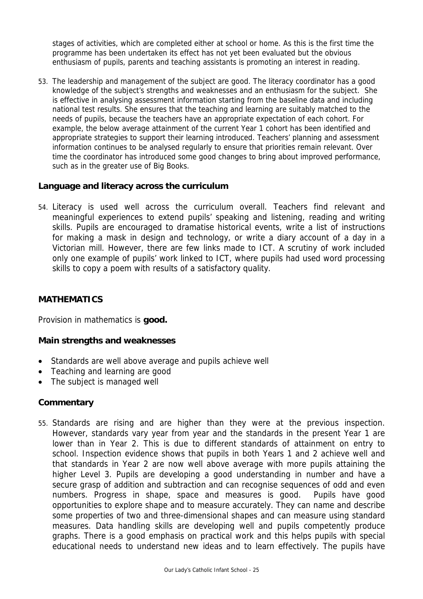stages of activities, which are completed either at school or home. As this is the first time the programme has been undertaken its effect has not yet been evaluated but the obvious enthusiasm of pupils, parents and teaching assistants is promoting an interest in reading.

53. The leadership and management of the subject are good. The literacy coordinator has a good knowledge of the subject's strengths and weaknesses and an enthusiasm for the subject. She is effective in analysing assessment information starting from the baseline data and including national test results. She ensures that the teaching and learning are suitably matched to the needs of pupils, because the teachers have an appropriate expectation of each cohort. For example, the below average attainment of the current Year 1 cohort has been identified and appropriate strategies to support their learning introduced. Teachers' planning and assessment information continues to be analysed regularly to ensure that priorities remain relevant. Over time the coordinator has introduced some good changes to bring about improved performance, such as in the greater use of Big Books.

# **Language and literacy across the curriculum**

54. Literacy is used well across the curriculum overall. Teachers find relevant and meaningful experiences to extend pupils' speaking and listening, reading and writing skills. Pupils are encouraged to dramatise historical events, write a list of instructions for making a mask in design and technology, or write a diary account of a day in a Victorian mill. However, there are few links made to ICT. A scrutiny of work included only one example of pupils' work linked to ICT, where pupils had used word processing skills to copy a poem with results of a satisfactory quality.

# **MATHEMATICS**

Provision in mathematics is **good.**

### **Main strengths and weaknesses**

- Standards are well above average and pupils achieve well
- Teaching and learning are good
- The subject is managed well

### **Commentary**

55. Standards are rising and are higher than they were at the previous inspection. However, standards vary year from year and the standards in the present Year 1 are lower than in Year 2. This is due to different standards of attainment on entry to school. Inspection evidence shows that pupils in both Years 1 and 2 achieve well and that standards in Year 2 are now well above average with more pupils attaining the higher Level 3. Pupils are developing a good understanding in number and have a secure grasp of addition and subtraction and can recognise sequences of odd and even numbers. Progress in shape, space and measures is good. Pupils have good opportunities to explore shape and to measure accurately. They can name and describe some properties of two and three-dimensional shapes and can measure using standard measures. Data handling skills are developing well and pupils competently produce graphs. There is a good emphasis on practical work and this helps pupils with special educational needs to understand new ideas and to learn effectively. The pupils have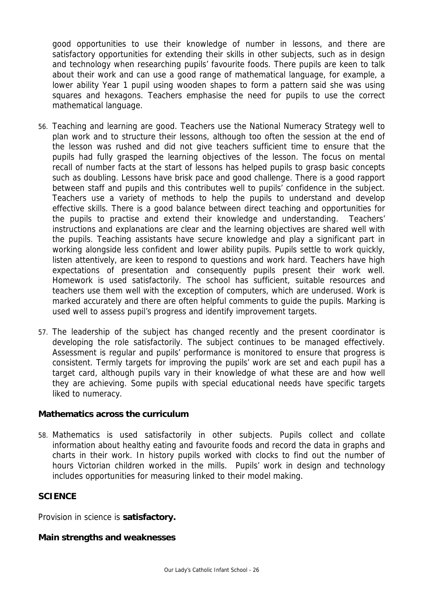good opportunities to use their knowledge of number in lessons, and there are satisfactory opportunities for extending their skills in other subjects, such as in design and technology when researching pupils' favourite foods. There pupils are keen to talk about their work and can use a good range of mathematical language, for example, a lower ability Year 1 pupil using wooden shapes to form a pattern said she was using squares and hexagons. Teachers emphasise the need for pupils to use the correct mathematical language.

- 56. Teaching and learning are good. Teachers use the National Numeracy Strategy well to plan work and to structure their lessons, although too often the session at the end of the lesson was rushed and did not give teachers sufficient time to ensure that the pupils had fully grasped the learning objectives of the lesson. The focus on mental recall of number facts at the start of lessons has helped pupils to grasp basic concepts such as doubling. Lessons have brisk pace and good challenge. There is a good rapport between staff and pupils and this contributes well to pupils' confidence in the subject. Teachers use a variety of methods to help the pupils to understand and develop effective skills. There is a good balance between direct teaching and opportunities for the pupils to practise and extend their knowledge and understanding. Teachers' instructions and explanations are clear and the learning objectives are shared well with the pupils. Teaching assistants have secure knowledge and play a significant part in working alongside less confident and lower ability pupils. Pupils settle to work quickly, listen attentively, are keen to respond to questions and work hard. Teachers have high expectations of presentation and consequently pupils present their work well. Homework is used satisfactorily. The school has sufficient, suitable resources and teachers use them well with the exception of computers, which are underused. Work is marked accurately and there are often helpful comments to guide the pupils. Marking is used well to assess pupil's progress and identify improvement targets.
- 57. The leadership of the subject has changed recently and the present coordinator is developing the role satisfactorily. The subject continues to be managed effectively. Assessment is regular and pupils' performance is monitored to ensure that progress is consistent. Termly targets for improving the pupils' work are set and each pupil has a target card, although pupils vary in their knowledge of what these are and how well they are achieving. Some pupils with special educational needs have specific targets liked to numeracy.

#### **Mathematics across the curriculum**

58. Mathematics is used satisfactorily in other subjects. Pupils collect and collate information about healthy eating and favourite foods and record the data in graphs and charts in their work. In history pupils worked with clocks to find out the number of hours Victorian children worked in the mills. Pupils' work in design and technology includes opportunities for measuring linked to their model making.

### **SCIENCE**

Provision in science is **satisfactory.**

#### **Main strengths and weaknesses**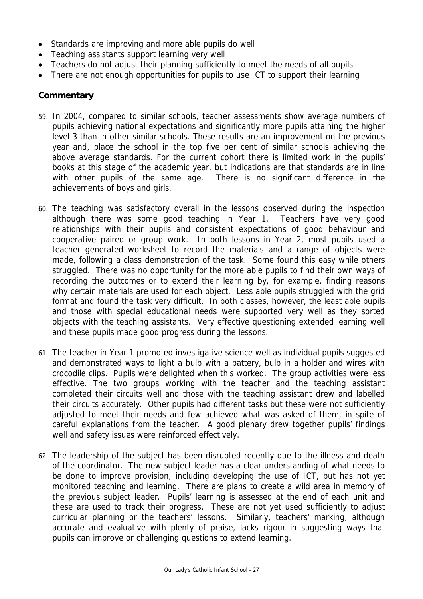- Standards are improving and more able pupils do well
- Teaching assistants support learning very well
- Teachers do not adjust their planning sufficiently to meet the needs of all pupils
- There are not enough opportunities for pupils to use ICT to support their learning

- 59. In 2004, compared to similar schools, teacher assessments show average numbers of pupils achieving national expectations and significantly more pupils attaining the higher level 3 than in other similar schools. These results are an improvement on the previous year and, place the school in the top five per cent of similar schools achieving the above average standards. For the current cohort there is limited work in the pupils' books at this stage of the academic year, but indications are that standards are in line with other pupils of the same age. There is no significant difference in the achievements of boys and girls.
- 60. The teaching was satisfactory overall in the lessons observed during the inspection although there was some good teaching in Year 1. Teachers have very good relationships with their pupils and consistent expectations of good behaviour and cooperative paired or group work. In both lessons in Year 2, most pupils used a teacher generated worksheet to record the materials and a range of objects were made, following a class demonstration of the task. Some found this easy while others struggled. There was no opportunity for the more able pupils to find their own ways of recording the outcomes or to extend their learning by, for example, finding reasons why certain materials are used for each object. Less able pupils struggled with the grid format and found the task very difficult. In both classes, however, the least able pupils and those with special educational needs were supported very well as they sorted objects with the teaching assistants. Very effective questioning extended learning well and these pupils made good progress during the lessons.
- 61. The teacher in Year 1 promoted investigative science well as individual pupils suggested and demonstrated ways to light a bulb with a battery, bulb in a holder and wires with crocodile clips. Pupils were delighted when this worked. The group activities were less effective. The two groups working with the teacher and the teaching assistant completed their circuits well and those with the teaching assistant drew and labelled their circuits accurately. Other pupils had different tasks but these were not sufficiently adjusted to meet their needs and few achieved what was asked of them, in spite of careful explanations from the teacher. A good plenary drew together pupils' findings well and safety issues were reinforced effectively.
- 62. The leadership of the subject has been disrupted recently due to the illness and death of the coordinator. The new subject leader has a clear understanding of what needs to be done to improve provision, including developing the use of ICT, but has not yet monitored teaching and learning. There are plans to create a wild area in memory of the previous subject leader. Pupils' learning is assessed at the end of each unit and these are used to track their progress. These are not yet used sufficiently to adjust curricular planning or the teachers' lessons. Similarly, teachers' marking, although accurate and evaluative with plenty of praise, lacks rigour in suggesting ways that pupils can improve or challenging questions to extend learning.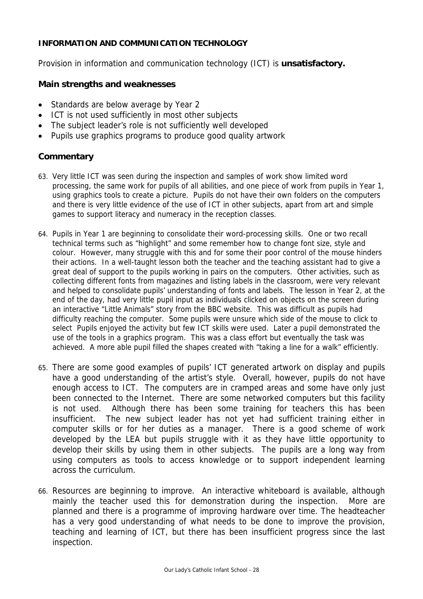#### **INFORMATION AND COMMUNICATION TECHNOLOGY**

Provision in information and communication technology (ICT) is **unsatisfactory.**

#### **Main strengths and weaknesses**

- Standards are below average by Year 2
- ICT is not used sufficiently in most other subjects
- The subject leader's role is not sufficiently well developed
- Pupils use graphics programs to produce good quality artwork

- 63. Very little ICT was seen during the inspection and samples of work show limited word processing, the same work for pupils of all abilities, and one piece of work from pupils in Year 1, using graphics tools to create a picture. Pupils do not have their own folders on the computers and there is very little evidence of the use of ICT in other subjects, apart from art and simple games to support literacy and numeracy in the reception classes.
- 64. Pupils in Year 1 are beginning to consolidate their word-processing skills. One or two recall technical terms such as "highlight" and some remember how to change font size, style and colour. However, many struggle with this and for some their poor control of the mouse hinders their actions. In a well-taught lesson both the teacher and the teaching assistant had to give a great deal of support to the pupils working in pairs on the computers. Other activities, such as collecting different fonts from magazines and listing labels in the classroom, were very relevant and helped to consolidate pupils' understanding of fonts and labels. The lesson in Year 2, at the end of the day, had very little pupil input as individuals clicked on objects on the screen during an interactive "Little Animals" story from the BBC website. This was difficult as pupils had difficulty reaching the computer. Some pupils were unsure which side of the mouse to click to select Pupils enjoyed the activity but few ICT skills were used. Later a pupil demonstrated the use of the tools in a graphics program. This was a class effort but eventually the task was achieved. A more able pupil filled the shapes created with "taking a line for a walk" efficiently.
- 65. There are some good examples of pupils' ICT generated artwork on display and pupils have a good understanding of the artist's style. Overall, however, pupils do not have enough access to ICT. The computers are in cramped areas and some have only just been connected to the Internet. There are some networked computers but this facility is not used. Although there has been some training for teachers this has been insufficient. The new subject leader has not yet had sufficient training either in computer skills or for her duties as a manager. There is a good scheme of work developed by the LEA but pupils struggle with it as they have little opportunity to develop their skills by using them in other subjects. The pupils are a long way from using computers as tools to access knowledge or to support independent learning across the curriculum.
- 66. Resources are beginning to improve. An interactive whiteboard is available, although mainly the teacher used this for demonstration during the inspection. More are planned and there is a programme of improving hardware over time. The headteacher has a very good understanding of what needs to be done to improve the provision, teaching and learning of ICT, but there has been insufficient progress since the last inspection.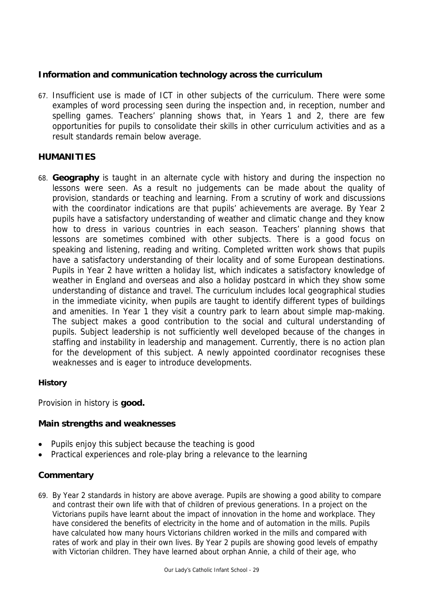# **Information and communication technology across the curriculum**

67. Insufficient use is made of ICT in other subjects of the curriculum. There were some examples of word processing seen during the inspection and, in reception, number and spelling games. Teachers' planning shows that, in Years 1 and 2, there are few opportunities for pupils to consolidate their skills in other curriculum activities and as a result standards remain below average.

### **HUMANITIES**

68. **Geography** is taught in an alternate cycle with history and during the inspection no lessons were seen. As a result no judgements can be made about the quality of provision, standards or teaching and learning. From a scrutiny of work and discussions with the coordinator indications are that pupils' achievements are average. By Year 2 pupils have a satisfactory understanding of weather and climatic change and they know how to dress in various countries in each season. Teachers' planning shows that lessons are sometimes combined with other subjects. There is a good focus on speaking and listening, reading and writing. Completed written work shows that pupils have a satisfactory understanding of their locality and of some European destinations. Pupils in Year 2 have written a holiday list, which indicates a satisfactory knowledge of weather in England and overseas and also a holiday postcard in which they show some understanding of distance and travel. The curriculum includes local geographical studies in the immediate vicinity, when pupils are taught to identify different types of buildings and amenities. In Year 1 they visit a country park to learn about simple map-making. The subject makes a good contribution to the social and cultural understanding of pupils. Subject leadership is not sufficiently well developed because of the changes in staffing and instability in leadership and management. Currently, there is no action plan for the development of this subject. A newly appointed coordinator recognises these weaknesses and is eager to introduce developments.

### **History**

Provision in history is **good.** 

### **Main strengths and weaknesses**

- Pupils enjoy this subject because the teaching is good
- Practical experiences and role-play bring a relevance to the learning

# **Commentary**

69. By Year 2 standards in history are above average. Pupils are showing a good ability to compare and contrast their own life with that of children of previous generations. In a project on the Victorians pupils have learnt about the impact of innovation in the home and workplace. They have considered the benefits of electricity in the home and of automation in the mills. Pupils have calculated how many hours Victorians children worked in the mills and compared with rates of work and play in their own lives. By Year 2 pupils are showing good levels of empathy with Victorian children. They have learned about orphan Annie, a child of their age, who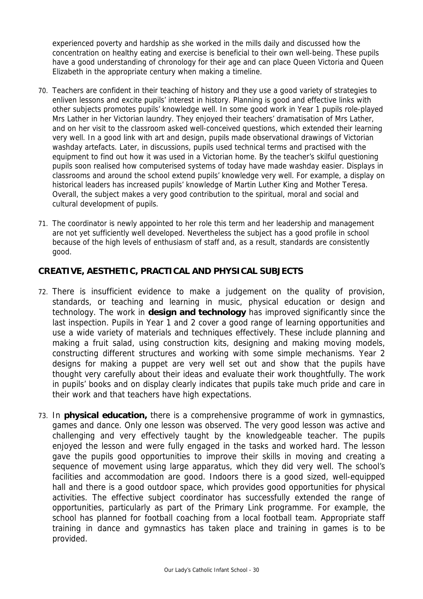experienced poverty and hardship as she worked in the mills daily and discussed how the concentration on healthy eating and exercise is beneficial to their own well-being. These pupils have a good understanding of chronology for their age and can place Queen Victoria and Queen Elizabeth in the appropriate century when making a timeline.

- 70. Teachers are confident in their teaching of history and they use a good variety of strategies to enliven lessons and excite pupils' interest in history. Planning is good and effective links with other subjects promotes pupils' knowledge well. In some good work in Year 1 pupils role-played Mrs Lather in her Victorian laundry. They enjoyed their teachers' dramatisation of Mrs Lather, and on her visit to the classroom asked well-conceived questions, which extended their learning very well. In a good link with art and design, pupils made observational drawings of Victorian washday artefacts. Later, in discussions, pupils used technical terms and practised with the equipment to find out how it was used in a Victorian home. By the teacher's skilful questioning pupils soon realised how computerised systems of today have made washday easier. Displays in classrooms and around the school extend pupils' knowledge very well. For example, a display on historical leaders has increased pupils' knowledge of Martin Luther King and Mother Teresa. Overall, the subject makes a very good contribution to the spiritual, moral and social and cultural development of pupils.
- 71. The coordinator is newly appointed to her role this term and her leadership and management are not yet sufficiently well developed. Nevertheless the subject has a good profile in school because of the high levels of enthusiasm of staff and, as a result, standards are consistently good.

# **CREATIVE, AESTHETIC, PRACTICAL AND PHYSICAL SUBJECTS**

- 72. There is insufficient evidence to make a judgement on the quality of provision, standards, or teaching and learning in music, physical education or design and technology. The work in **design and technology** has improved significantly since the last inspection. Pupils in Year 1 and 2 cover a good range of learning opportunities and use a wide variety of materials and techniques effectively. These include planning and making a fruit salad, using construction kits, designing and making moving models, constructing different structures and working with some simple mechanisms. Year 2 designs for making a puppet are very well set out and show that the pupils have thought very carefully about their ideas and evaluate their work thoughtfully. The work in pupils' books and on display clearly indicates that pupils take much pride and care in their work and that teachers have high expectations.
- 73. In **physical education,** there is a comprehensive programme of work in gymnastics, games and dance. Only one lesson was observed. The very good lesson was active and challenging and very effectively taught by the knowledgeable teacher. The pupils enjoyed the lesson and were fully engaged in the tasks and worked hard. The lesson gave the pupils good opportunities to improve their skills in moving and creating a sequence of movement using large apparatus, which they did very well. The school's facilities and accommodation are good. Indoors there is a good sized, well-equipped hall and there is a good outdoor space, which provides good opportunities for physical activities. The effective subject coordinator has successfully extended the range of opportunities, particularly as part of the Primary Link programme. For example, the school has planned for football coaching from a local football team. Appropriate staff training in dance and gymnastics has taken place and training in games is to be provided.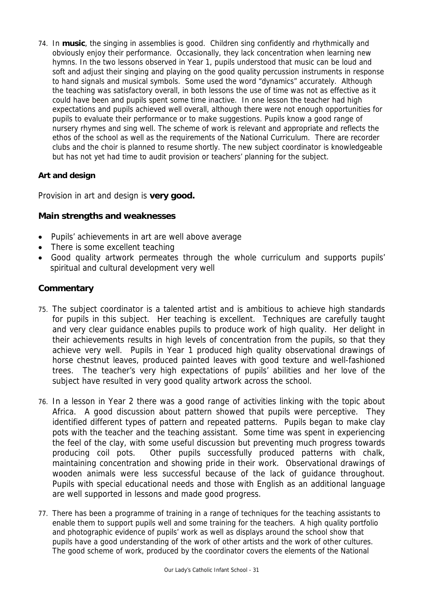74. In **music**, the singing in assemblies is good. Children sing confidently and rhythmically and obviously enjoy their performance. Occasionally, they lack concentration when learning new hymns. In the two lessons observed in Year 1, pupils understood that music can be loud and soft and adjust their singing and playing on the good quality percussion instruments in response to hand signals and musical symbols. Some used the word "dynamics" accurately. Although the teaching was satisfactory overall, in both lessons the use of time was not as effective as it could have been and pupils spent some time inactive. In one lesson the teacher had high expectations and pupils achieved well overall, although there were not enough opportunities for pupils to evaluate their performance or to make suggestions. Pupils know a good range of nursery rhymes and sing well. The scheme of work is relevant and appropriate and reflects the ethos of the school as well as the requirements of the National Curriculum. There are recorder clubs and the choir is planned to resume shortly. The new subject coordinator is knowledgeable but has not yet had time to audit provision or teachers' planning for the subject.

# **Art and design**

Provision in art and design is **very good.** 

# **Main strengths and weaknesses**

- Pupils' achievements in art are well above average
- There is some excellent teaching
- Good quality artwork permeates through the whole curriculum and supports pupils' spiritual and cultural development very well

- 75. The subject coordinator is a talented artist and is ambitious to achieve high standards for pupils in this subject. Her teaching is excellent. Techniques are carefully taught and very clear guidance enables pupils to produce work of high quality. Her delight in their achievements results in high levels of concentration from the pupils, so that they achieve very well. Pupils in Year 1 produced high quality observational drawings of horse chestnut leaves, produced painted leaves with good texture and well-fashioned trees. The teacher's very high expectations of pupils' abilities and her love of the subject have resulted in very good quality artwork across the school.
- 76. In a lesson in Year 2 there was a good range of activities linking with the topic about Africa. A good discussion about pattern showed that pupils were perceptive. They identified different types of pattern and repeated patterns. Pupils began to make clay pots with the teacher and the teaching assistant. Some time was spent in experiencing the feel of the clay, with some useful discussion but preventing much progress towards producing coil pots. Other pupils successfully produced patterns with chalk, maintaining concentration and showing pride in their work. Observational drawings of wooden animals were less successful because of the lack of guidance throughout. Pupils with special educational needs and those with English as an additional language are well supported in lessons and made good progress.
- 77. There has been a programme of training in a range of techniques for the teaching assistants to enable them to support pupils well and some training for the teachers. A high quality portfolio and photographic evidence of pupils' work as well as displays around the school show that pupils have a good understanding of the work of other artists and the work of other cultures. The good scheme of work, produced by the coordinator covers the elements of the National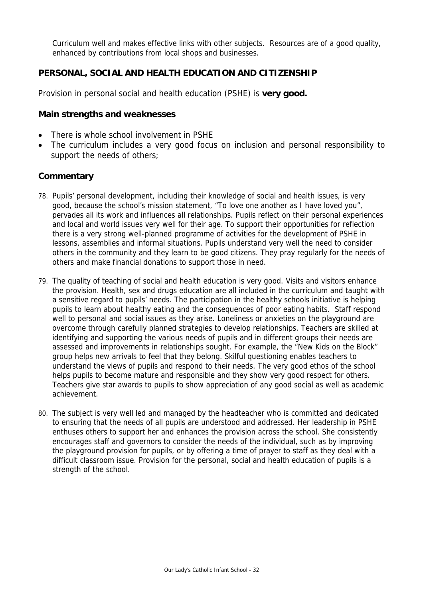Curriculum well and makes effective links with other subjects. Resources are of a good quality, enhanced by contributions from local shops and businesses.

# **PERSONAL, SOCIAL AND HEALTH EDUCATION AND CITIZENSHIP**

Provision in personal social and health education (PSHE) is **very good.**

#### **Main strengths and weaknesses**

- There is whole school involvement in PSHE
- The curriculum includes a very good focus on inclusion and personal responsibility to support the needs of others;

- 78. Pupils' personal development, including their knowledge of social and health issues, is very good, because the school's mission statement, "To love one another as I have loved you", pervades all its work and influences all relationships. Pupils reflect on their personal experiences and local and world issues very well for their age. To support their opportunities for reflection there is a very strong well-planned programme of activities for the development of PSHE in lessons, assemblies and informal situations. Pupils understand very well the need to consider others in the community and they learn to be good citizens. They pray regularly for the needs of others and make financial donations to support those in need.
- 79. The quality of teaching of social and health education is very good. Visits and visitors enhance the provision. Health, sex and drugs education are all included in the curriculum and taught with a sensitive regard to pupils' needs. The participation in the healthy schools initiative is helping pupils to learn about healthy eating and the consequences of poor eating habits. Staff respond well to personal and social issues as they arise. Loneliness or anxieties on the playground are overcome through carefully planned strategies to develop relationships. Teachers are skilled at identifying and supporting the various needs of pupils and in different groups their needs are assessed and improvements in relationships sought. For example, the "New Kids on the Block" group helps new arrivals to feel that they belong. Skilful questioning enables teachers to understand the views of pupils and respond to their needs. The very good ethos of the school helps pupils to become mature and responsible and they show very good respect for others. Teachers give star awards to pupils to show appreciation of any good social as well as academic achievement.
- 80. The subject is very well led and managed by the headteacher who is committed and dedicated to ensuring that the needs of all pupils are understood and addressed. Her leadership in PSHE enthuses others to support her and enhances the provision across the school. She consistently encourages staff and governors to consider the needs of the individual, such as by improving the playground provision for pupils, or by offering a time of prayer to staff as they deal with a difficult classroom issue. Provision for the personal, social and health education of pupils is a strength of the school.